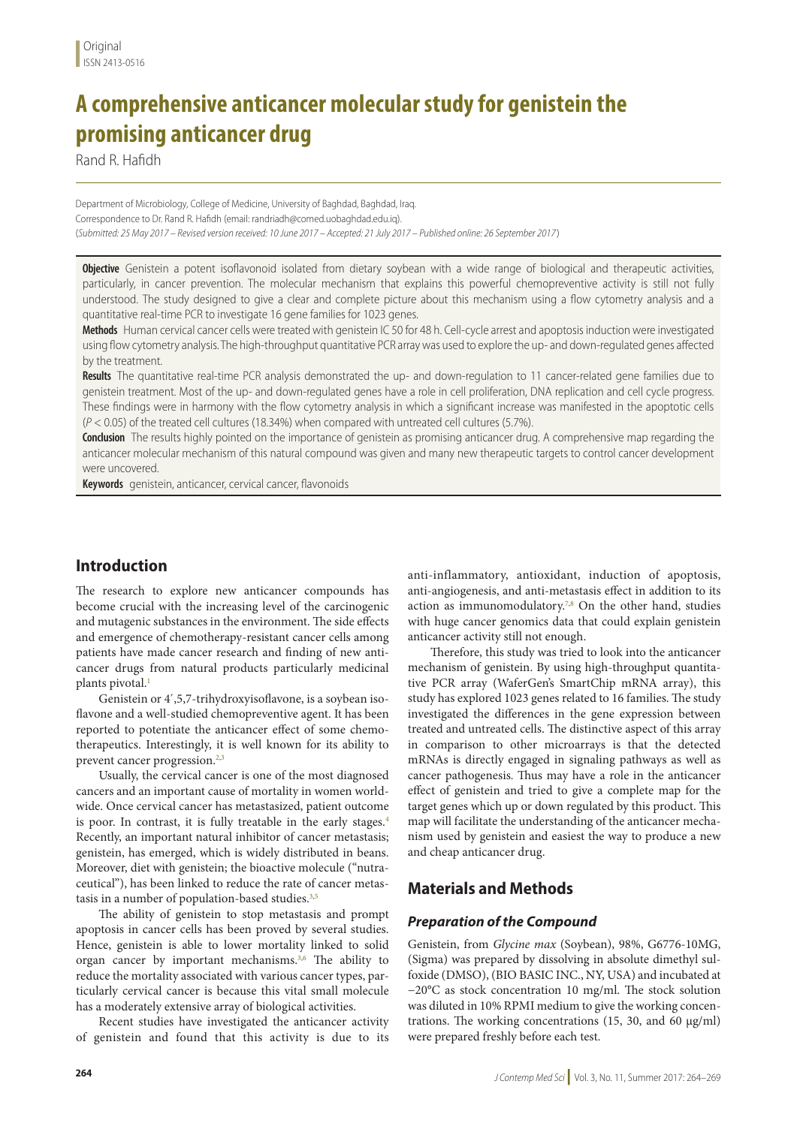# **A comprehensive anticancer molecular study for genistein the promising anticancer drug**

Rand R. Hafidh

Department of Microbiology, College of Medicine, University of Baghdad, Baghdad, Iraq. Correspondence to Dr. Rand R. Hafidh (email: randriadh@comed.uobaghdad.edu.iq). (*Submitted: 25 May 2017 – Revised version received: 10 June 2017 – Accepted: 21 July 2017 – Published online: 26 September 2017*)

**Objective** Genistein a potent isoflavonoid isolated from dietary soybean with a wide range of biological and therapeutic activities, particularly, in cancer prevention. The molecular mechanism that explains this powerful chemopreventive activity is still not fully understood. The study designed to give a clear and complete picture about this mechanism using a flow cytometry analysis and a quantitative real-time PCR to investigate 16 gene families for 1023 genes.

**Methods** Human cervical cancer cells were treated with genistein IC 50 for 48 h. Cell-cycle arrest and apoptosis induction were investigated using flow cytometry analysis. The high-throughput quantitative PCR array was used to explore the up- and down-regulated genes affected by the treatment.

**Results** The quantitative real-time PCR analysis demonstrated the up- and down-regulation to 11 cancer-related gene families due to genistein treatment. Most of the up- and down-regulated genes have a role in cell proliferation, DNA replication and cell cycle progress. These findings were in harmony with the flow cytometry analysis in which a significant increase was manifested in the apoptotic cells (*P* < 0.05) of the treated cell cultures (18.34%) when compared with untreated cell cultures (5.7%).

**Condusion** The results highly pointed on the importance of genistein as promising anticancer drug. A comprehensive map regarding the anticancer molecular mechanism of this natural compound was given and many new therapeutic targets to control cancer development were uncovered.

**Keywords** genistein, anticancer, cervical cancer, flavonoids

# **Introduction**

The research to explore new anticancer compounds has become crucial with the increasing level of the carcinogenic and mutagenic substances in the environment. The side effects and emergence of chemotherapy-resistant cancer cells among patients have made cancer research and finding of new anticancer drugs from natural products particularly medicinal plants pivotal.<sup>1</sup>

Genistein or 4´,5,7-trihydroxyisoflavone, is a soybean isoflavone and a well-studied chemopreventive agent. It has been reported to potentiate the anticancer effect of some chemotherapeutics. Interestingly, it is well known for its ability to prevent cancer progression. $2,3$ 

Usually, the cervical cancer is one of the most diagnosed cancers and an important cause of mortality in women worldwide. Once cervical cancer has metastasized, patient outcome is poor. In contrast, it is fully treatable in the early stages.<sup>4</sup> Recently, an important natural inhibitor of cancer metastasis; genistein, has emerged, which is widely distributed in beans. Moreover, diet with genistein; the bioactive molecule ("nutraceutical"), has been linked to reduce the rate of cancer metastasis in a number of population-based studies.<sup>3,5</sup>

The ability of genistein to stop metastasis and prompt apoptosis in cancer cells has been proved by several studies. Hence, genistein is able to lower mortality linked to solid organ cancer by important mechanisms.<sup>3,6</sup> The ability to reduce the mortality associated with various cancer types, particularly cervical cancer is because this vital small molecule has a moderately extensive array of biological activities.

Recent studies have investigated the anticancer activity of genistein and found that this activity is due to its anti-inflammatory, antioxidant, induction of apoptosis, anti-angiogenesis, and anti-metastasis effect in addition to its action as immunomodulatory.<sup>7,8</sup> On the other hand, studies with huge cancer genomics data that could explain genistein anticancer activity still not enough.

Therefore, this study was tried to look into the anticancer mechanism of genistein. By using high-throughput quantitative PCR array (WaferGen's SmartChip mRNA array), this study has explored 1023 genes related to 16 families. The study investigated the differences in the gene expression between treated and untreated cells. The distinctive aspect of this array in comparison to other microarrays is that the detected mRNAs is directly engaged in signaling pathways as well as cancer pathogenesis. Thus may have a role in the anticancer effect of genistein and tried to give a complete map for the target genes which up or down regulated by this product. This map will facilitate the understanding of the anticancer mechanism used by genistein and easiest the way to produce a new and cheap anticancer drug.

# **Materials and Methods**

## *Preparation of the Compound*

Genistein, from *Glycine max* (Soybean), 98%, G6776-10MG, (Sigma) was prepared by dissolving in absolute dimethyl sulfoxide (DMSO), (BIO BASIC INC., NY, USA) and incubated at −20°C as stock concentration 10 mg/ml. The stock solution was diluted in 10% RPMI medium to give the working concentrations. The working concentrations (15, 30, and 60 µg/ml) were prepared freshly before each test.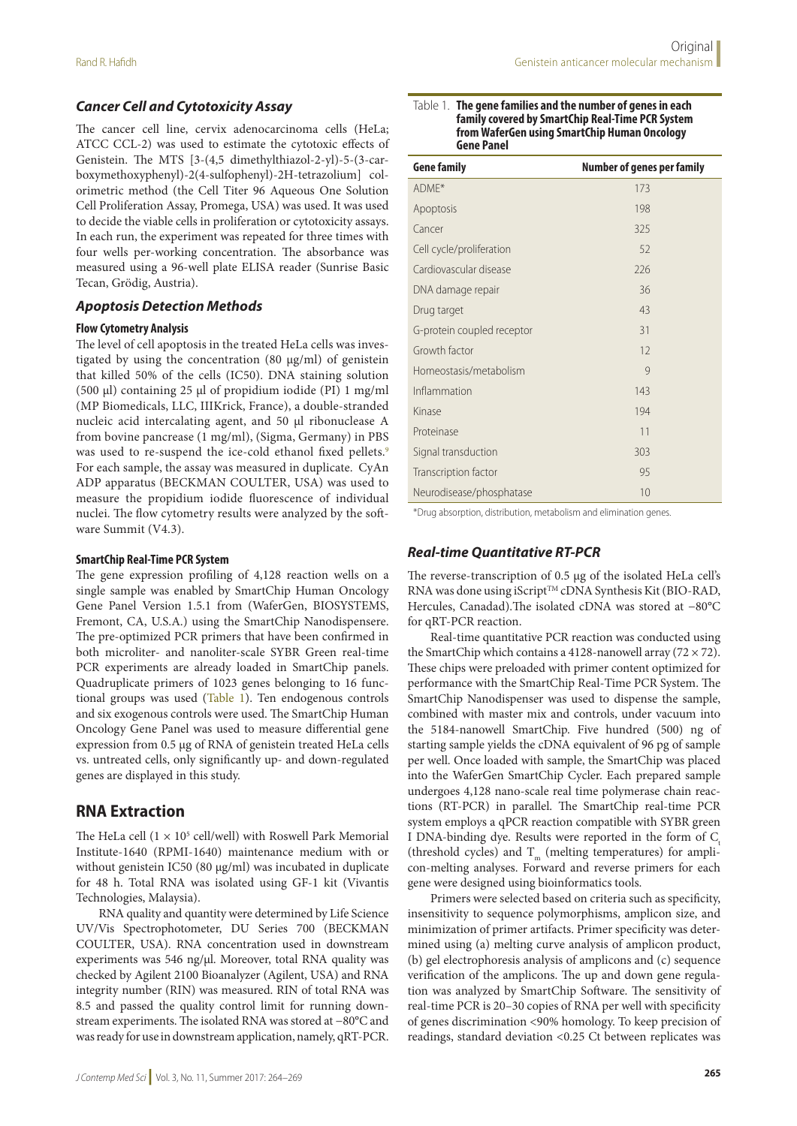## *Cancer Cell and Cytotoxicity Assay*

The cancer cell line, cervix adenocarcinoma cells (HeLa; ATCC CCL-2) was used to estimate the cytotoxic effects of Genistein. The MTS [3-(4,5 dimethylthiazol-2-yl)-5-(3-carboxymethoxyphenyl)-2(4-sulfophenyl)-2H-tetrazolium] colorimetric method (the Cell Titer 96 Aqueous One Solution Cell Proliferation Assay, Promega, USA) was used. It was used to decide the viable cells in proliferation or cytotoxicity assays. In each run, the experiment was repeated for three times with four wells per-working concentration. The absorbance was measured using a 96-well plate ELISA reader (Sunrise Basic Tecan, Grödig, Austria).

#### *Apoptosis Detection Methods*

#### **Flow Cytometry Analysis**

The level of cell apoptosis in the treated HeLa cells was investigated by using the concentration (80 µg/ml) of genistein that killed 50% of the cells (IC50). DNA staining solution (500 μl) containing 25 μl of propidium iodide (PI) 1 mg/ml (MP Biomedicals, LLC, IIIKrick, France), a double-stranded nucleic acid intercalating agent, and 50 μl ribonuclease A from bovine pancrease (1 mg/ml), (Sigma, Germany) in PBS was used to re-suspend the ice-cold ethanol fixed pellets.<sup>9</sup> For each sample, the assay was measured in duplicate. CyAn ADP apparatus (BECKMAN COULTER, USA) was used to measure the propidium iodide fluorescence of individual nuclei. The flow cytometry results were analyzed by the software Summit (V4.3).

#### **SmartChip Real-Time PCR System**

The gene expression profiling of 4,128 reaction wells on a single sample was enabled by SmartChip Human Oncology Gene Panel Version 1.5.1 from (WaferGen, BIOSYSTEMS, Fremont, CA, U.S.A.) using the SmartChip Nanodispensere. The pre-optimized PCR primers that have been confirmed in both microliter- and nanoliter-scale SYBR Green real-time PCR experiments are already loaded in SmartChip panels. Quadruplicate primers of 1023 genes belonging to 16 functional groups was used (Table 1). Ten endogenous controls and six exogenous controls were used. The SmartChip Human Oncology Gene Panel was used to measure differential gene expression from 0.5 µg of RNA of genistein treated HeLa cells vs. untreated cells, only significantly up- and down-regulated genes are displayed in this study.

## **RNA Extraction**

The HeLa cell  $(1 \times 10^5 \text{ cell/well})$  with Roswell Park Memorial Institute-1640 (RPMI-1640) maintenance medium with or without genistein IC50 (80 µg/ml) was incubated in duplicate for 48 h. Total RNA was isolated using GF-1 kit (Vivantis Technologies, Malaysia).

RNA quality and quantity were determined by Life Science UV/Vis Spectrophotometer, DU Series 700 (BECKMAN COULTER, USA). RNA concentration used in downstream experiments was 546 ng/µl. Moreover, total RNA quality was checked by Agilent 2100 Bioanalyzer (Agilent, USA) and RNA integrity number (RIN) was measured. RIN of total RNA was 8.5 and passed the quality control limit for running downstream experiments. The isolated RNA was stored at −80°C and was ready for use in downstream application, namely, qRT-PCR.

#### Table 1. **The gene families and the number of genes in each family covered by SmartChip Real-Time PCR System from WaferGen using SmartChip Human Oncology Gene Panel**

| <b>Gene family</b>         | <b>Number of genes per family</b> |
|----------------------------|-----------------------------------|
| ADME*                      | 173                               |
| Apoptosis                  | 198                               |
| Cancer                     | 325                               |
| Cell cycle/proliferation   | 52                                |
| Cardiovascular disease     | 226                               |
| DNA damage repair          | 36                                |
| Drug target                | 43                                |
| G-protein coupled receptor | 31                                |
| Growth factor              | 12                                |
| Homeostasis/metabolism     | $\mathcal{Q}$                     |
| Inflammation               | 143                               |
| Kinase                     | 194                               |
| Proteinase                 | 11                                |
| Signal transduction        | 303                               |
| Transcription factor       | 95                                |
| Neurodisease/phosphatase   | 10                                |

\*Drug absorption, distribution, metabolism and elimination genes.

#### *Real-time Quantitative RT-PCR*

The reverse-transcription of 0.5 µg of the isolated HeLa cell's RNA was done using iScript™ cDNA Synthesis Kit (BIO-RAD, Hercules, Canadad).The isolated cDNA was stored at −80°C for qRT-PCR reaction.

Real-time quantitative PCR reaction was conducted using the SmartChip which contains a 4128-nanowell array  $(72 \times 72)$ . These chips were preloaded with primer content optimized for performance with the SmartChip Real-Time PCR System. The SmartChip Nanodispenser was used to dispense the sample, combined with master mix and controls, under vacuum into the 5184-nanowell SmartChip. Five hundred (500) ng of starting sample yields the cDNA equivalent of 96 pg of sample per well. Once loaded with sample, the SmartChip was placed into the WaferGen SmartChip Cycler. Each prepared sample undergoes 4,128 nano-scale real time polymerase chain reactions (RT-PCR) in parallel. The SmartChip real-time PCR system employs a qPCR reaction compatible with SYBR green I DNA-binding dye. Results were reported in the form of  $C<sub>i</sub>$ (threshold cycles) and  $T_m$  (melting temperatures) for amplicon-melting analyses. Forward and reverse primers for each gene were designed using bioinformatics tools.

Primers were selected based on criteria such as specificity, insensitivity to sequence polymorphisms, amplicon size, and minimization of primer artifacts. Primer specificity was determined using (a) melting curve analysis of amplicon product, (b) gel electrophoresis analysis of amplicons and (c) sequence verification of the amplicons. The up and down gene regulation was analyzed by SmartChip Software. The sensitivity of real-time PCR is 20–30 copies of RNA per well with specificity of genes discrimination <90% homology. To keep precision of readings, standard deviation <0.25 Ct between replicates was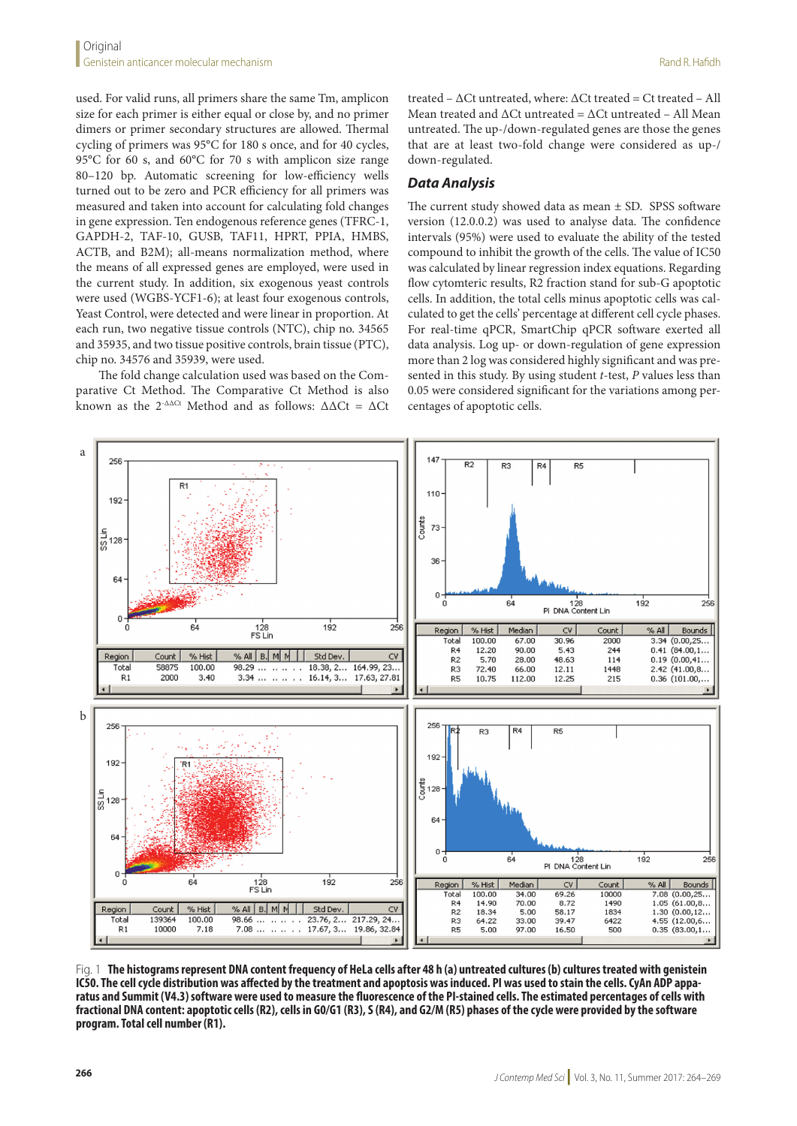used. For valid runs, all primers share the same Tm, amplicon size for each primer is either equal or close by, and no primer dimers or primer secondary structures are allowed. Thermal cycling of primers was 95°C for 180 s once, and for 40 cycles, 95°C for 60 s, and 60°C for 70 s with amplicon size range 80–120 bp. Automatic screening for low-efficiency wells turned out to be zero and PCR efficiency for all primers was measured and taken into account for calculating fold changes in gene expression. Ten endogenous reference genes (TFRC-1, GAPDH-2, TAF-10, GUSB, TAF11, HPRT, PPIA, HMBS, ACTB, and B2M); all-means normalization method, where the means of all expressed genes are employed, were used in the current study. In addition, six exogenous yeast controls were used (WGBS-YCF1-6); at least four exogenous controls, Yeast Control, were detected and were linear in proportion. At each run, two negative tissue controls (NTC), chip no. 34565 and 35935, and two tissue positive controls, brain tissue (PTC), chip no. 34576 and 35939, were used.

The fold change calculation used was based on the Comparative Ct Method. The Comparative Ct Method is also known as the  $2^{-\Delta\Delta Ct}$  Method and as follows:  $\Delta\Delta Ct = \Delta Ct$  treated – ΔCt untreated, where: ΔCt treated = Ct treated – All Mean treated and  $\Delta$ Ct untreated =  $\Delta$ Ct untreated - All Mean untreated. The up-/down-regulated genes are those the genes that are at least two-fold change were considered as up-/ down-regulated.

#### *Data Analysis*

The current study showed data as mean ± SD. SPSS software version (12.0.0.2) was used to analyse data. The confidence intervals (95%) were used to evaluate the ability of the tested compound to inhibit the growth of the cells. The value of IC50 was calculated by linear regression index equations. Regarding flow cytomteric results, R2 fraction stand for sub-G apoptotic cells. In addition, the total cells minus apoptotic cells was calculated to get the cells' percentage at different cell cycle phases. For real-time qPCR, SmartChip qPCR software exerted all data analysis. Log up- or down-regulation of gene expression more than 2 log was considered highly significant and was presented in this study. By using student *t*-test, *P* values less than 0.05 were considered significant for the variations among percentages of apoptotic cells.



Fig. 1 **The histograms represent DNA content frequency of HeLa cells after 48 h (a) untreated cultures (b) cultures treated with genistein IC50. The cell cycle distribution was affected by the treatment and apoptosis was induced. PI was used to stain the cells. CyAn ADP apparatus and Summit (V4.3) software were used to measure the fluorescence of the PI-stained cells. The estimated percentages of cells with fractional DNA content: apoptotic cells (R2), cells in G0/G1 (R3), S (R4), and G2/M (R5) phases of the cycle were provided by the software program. Total cell number (R1).**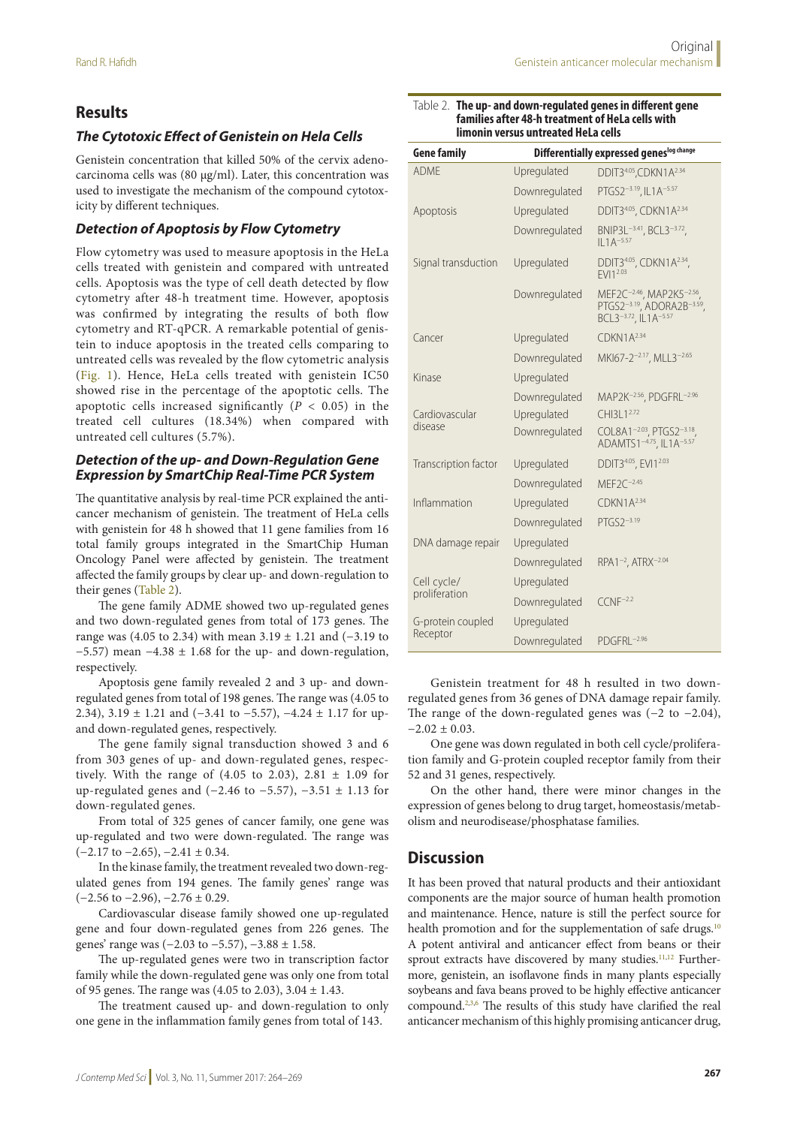## **Results**

## *The Cytotoxic Effect of Genistein on Hela Cells*

Genistein concentration that killed 50% of the cervix adenocarcinoma cells was (80 µg/ml). Later, this concentration was used to investigate the mechanism of the compound cytotoxicity by different techniques.

## *Detection of Apoptosis by Flow Cytometry*

Flow cytometry was used to measure apoptosis in the HeLa cells treated with genistein and compared with untreated cells. Apoptosis was the type of cell death detected by flow cytometry after 48-h treatment time. However, apoptosis was confirmed by integrating the results of both flow cytometry and RT-qPCR. A remarkable potential of genistein to induce apoptosis in the treated cells comparing to untreated cells was revealed by the flow cytometric analysis (Fig. 1). Hence, HeLa cells treated with genistein IC50 showed rise in the percentage of the apoptotic cells. The apoptotic cells increased significantly  $(P < 0.05)$  in the treated cell cultures (18.34%) when compared with untreated cell cultures (5.7%).

## *Detection of the up- and Down-Regulation Gene Expression by SmartChip Real-Time PCR System*

The quantitative analysis by real-time PCR explained the anticancer mechanism of genistein. The treatment of HeLa cells with genistein for 48 h showed that 11 gene families from 16 total family groups integrated in the SmartChip Human Oncology Panel were affected by genistein. The treatment affected the family groups by clear up- and down-regulation to their genes (Table 2).

The gene family ADME showed two up-regulated genes and two down-regulated genes from total of 173 genes. The range was (4.05 to 2.34) with mean 3.19 ± 1.21 and (−3.19 to  $-5.57$ ) mean  $-4.38 \pm 1.68$  for the up- and down-regulation, respectively.

Apoptosis gene family revealed 2 and 3 up- and downregulated genes from total of 198 genes. The range was (4.05 to 2.34), 3.19 ± 1.21 and (−3.41 to −5.57), −4.24 ± 1.17 for upand down-regulated genes, respectively.

The gene family signal transduction showed 3 and 6 from 303 genes of up- and down-regulated genes, respectively. With the range of (4.05 to 2.03), 2.81  $\pm$  1.09 for up-regulated genes and  $(-2.46 \text{ to } -5.57)$ ,  $-3.51 \pm 1.13$  for down-regulated genes.

From total of 325 genes of cancer family, one gene was up-regulated and two were down-regulated. The range was  $(-2.17 \text{ to } -2.65), -2.41 \pm 0.34.$ 

In the kinase family, the treatment revealed two down-regulated genes from 194 genes. The family genes' range was  $(-2.56 \text{ to } -2.96), -2.76 \pm 0.29.$ 

Cardiovascular disease family showed one up-regulated gene and four down-regulated genes from 226 genes. The genes' range was (−2.03 to −5.57), −3.88 ± 1.58.

The up-regulated genes were two in transcription factor family while the down-regulated gene was only one from total of 95 genes. The range was  $(4.05 \text{ to } 2.03)$ ,  $3.04 \pm 1.43$ .

The treatment caused up- and down-regulation to only one gene in the inflammation family genes from total of 143.

| <b>Gene family</b>   | Differentially expressed geneslog change |                                                                             |
|----------------------|------------------------------------------|-----------------------------------------------------------------------------|
| <b>ADMF</b>          | Upregulated                              | DDIT34.05, CDKN1A <sup>2.34</sup>                                           |
|                      | Downregulated                            | PTGS2-3.19, IL1A-5.57                                                       |
| Apoptosis            | Upregulated                              | DDIT34.05, CDKN1A <sup>2.34</sup>                                           |
|                      | Downregulated                            | BNIP3L <sup>-3.41</sup> , BCL3 <sup>-3.72</sup> ,<br>$II 1A^{-5.57}$        |
| Signal transduction  | Upregulated                              | DDIT34.05, CDKN1A <sup>2.34</sup> ,<br>FVI12.03                             |
|                      | Downregulated                            | MEF2C-2.46, MAP2K5-2.56,<br>PTGS2-3.19, ADORA2B-3.59,                       |
| Cancer               | Upregulated                              | CDKN1A <sup>2.34</sup>                                                      |
|                      | Downregulated                            | MKI67-2 <sup>-2.17</sup> , MLL3 <sup>-2.65</sup>                            |
| Kinase               | Upregulated                              |                                                                             |
|                      | Downregulated                            | MAP2K-2.56, PDGFRL-2.96                                                     |
| Cardiovascular       | Upregulated                              | CHI31 1 <sup>2.72</sup>                                                     |
| disease              | Downregulated                            | COL8A1-2.03, PTGS2-3.18<br>ADAMTS1 <sup>-4.75</sup> , IL1A <sup>-5.57</sup> |
| Transcription factor | Upregulated                              | DDIT34.05, EVI12.03                                                         |
|                      | Downregulated                            | $MEF2C^{-2.45}$                                                             |
| Inflammation         | Upregulated                              | CDKN1A <sup>2.34</sup>                                                      |
|                      | Downregulated                            | PTGS2-3.19                                                                  |
| DNA damage repair    | Upregulated                              |                                                                             |
|                      | Downregulated                            | RPA1 <sup>-2</sup> , ATRX <sup>-2.04</sup>                                  |
| Cell cycle/          | Upregulated                              |                                                                             |
| proliferation        | Downregulated                            | $C(NF^{-2.2})$                                                              |
| G-protein coupled    | Upregulated                              |                                                                             |
| Receptor             | Downregulated                            | $PDGFRI -2.96$                                                              |

#### Table 2. **The up- and down-regulated genes in different gene families after 48-h treatment of HeLa cells with limonin versus untreated HeLa cells**

Genistein treatment for 48 h resulted in two downregulated genes from 36 genes of DNA damage repair family. The range of the down-regulated genes was (−2 to −2.04),  $-2.02 \pm 0.03$ .

One gene was down regulated in both cell cycle/proliferation family and G-protein coupled receptor family from their 52 and 31 genes, respectively.

On the other hand, there were minor changes in the expression of genes belong to drug target, homeostasis/metabolism and neurodisease/phosphatase families.

## **Discussion**

It has been proved that natural products and their antioxidant components are the major source of human health promotion and maintenance. Hence, nature is still the perfect source for health promotion and for the supplementation of safe drugs.<sup>10</sup> A potent antiviral and anticancer effect from beans or their sprout extracts have discovered by many studies.<sup>11,12</sup> Furthermore, genistein, an isoflavone finds in many plants especially soybeans and fava beans proved to be highly effective anticancer compound.2,3,6 The results of this study have clarified the real anticancer mechanism of this highly promising anticancer drug,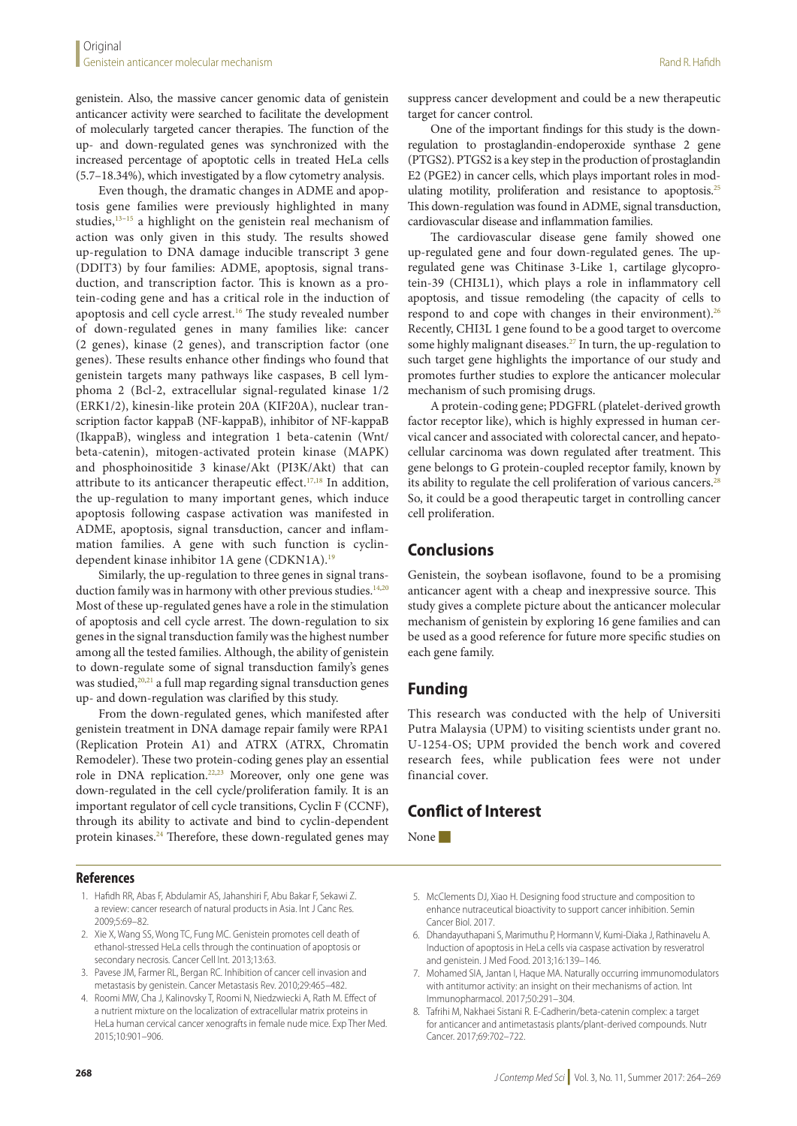genistein. Also, the massive cancer genomic data of genistein anticancer activity were searched to facilitate the development of molecularly targeted cancer therapies. The function of the up- and down-regulated genes was synchronized with the increased percentage of apoptotic cells in treated HeLa cells (5.7–18.34%), which investigated by a flow cytometry analysis.

Even though, the dramatic changes in ADME and apoptosis gene families were previously highlighted in many studies,<sup>13-15</sup> a highlight on the genistein real mechanism of action was only given in this study. The results showed up-regulation to DNA damage inducible transcript 3 gene (DDIT3) by four families: ADME, apoptosis, signal transduction, and transcription factor. This is known as a protein-coding gene and has a critical role in the induction of apoptosis and cell cycle arrest.<sup>16</sup> The study revealed number of down-regulated genes in many families like: cancer (2 genes), kinase (2 genes), and transcription factor (one genes). These results enhance other findings who found that genistein targets many pathways like caspases, B cell lymphoma 2 (Bcl-2, extracellular signal-regulated kinase 1/2 (ERK1/2), kinesin-like protein 20A (KIF20A), nuclear transcription factor kappaB (NF-kappaB), inhibitor of NF-kappaB (IkappaB), wingless and integration 1 beta-catenin (Wnt/ beta-catenin), mitogen-activated protein kinase (MAPK) and phosphoinositide 3 kinase/Akt (PI3K/Akt) that can attribute to its anticancer therapeutic effect.<sup>17,18</sup> In addition, the up-regulation to many important genes, which induce apoptosis following caspase activation was manifested in ADME, apoptosis, signal transduction, cancer and inflammation families. A gene with such function is cyclindependent kinase inhibitor 1A gene (CDKN1A).<sup>19</sup>

Similarly, the up-regulation to three genes in signal transduction family was in harmony with other previous studies.<sup>14,20</sup> Most of these up-regulated genes have a role in the stimulation of apoptosis and cell cycle arrest. The down-regulation to six genes in the signal transduction family was the highest number among all the tested families. Although, the ability of genistein to down-regulate some of signal transduction family's genes was studied,<sup>20,21</sup> a full map regarding signal transduction genes up- and down-regulation was clarified by this study.

From the down-regulated genes, which manifested after genistein treatment in DNA damage repair family were RPA1 (Replication Protein A1) and ATRX (ATRX, Chromatin Remodeler). These two protein-coding genes play an essential role in DNA replication.22,23 Moreover, only one gene was down-regulated in the cell cycle/proliferation family. It is an important regulator of cell cycle transitions, Cyclin F (CCNF), through its ability to activate and bind to cyclin-dependent protein kinases.24 Therefore, these down-regulated genes may

## **References**

- 1. Hafidh RR, Abas F, Abdulamir AS, Jahanshiri F, Abu Bakar F, Sekawi Z. a review: cancer research of natural products in Asia. Int J Canc Res. 2009;5:69–82.
- 2. Xie X, Wang SS, Wong TC, Fung MC. Genistein promotes cell death of ethanol-stressed HeLa cells through the continuation of apoptosis or secondary necrosis. Cancer Cell Int. 2013;13:63.
- 3. Pavese JM, Farmer RL, Bergan RC. Inhibition of cancer cell invasion and metastasis by genistein. Cancer Metastasis Rev. 2010;29:465–482.
- 4. Roomi MW, Cha J, Kalinovsky T, Roomi N, Niedzwiecki A, Rath M. Effect of a nutrient mixture on the localization of extracellular matrix proteins in HeLa human cervical cancer xenografts in female nude mice. Exp Ther Med. 2015;10:901–906.

suppress cancer development and could be a new therapeutic target for cancer control.

One of the important findings for this study is the downregulation to prostaglandin-endoperoxide synthase 2 gene (PTGS2). PTGS2 is a key step in the production of prostaglandin E2 (PGE2) in cancer cells, which plays important roles in modulating motility, proliferation and resistance to apoptosis.<sup>25</sup> This down-regulation was found in ADME, signal transduction, cardiovascular disease and inflammation families.

The cardiovascular disease gene family showed one up-regulated gene and four down-regulated genes. The upregulated gene was Chitinase 3-Like 1, cartilage glycoprotein-39 (CHI3L1), which plays a role in inflammatory cell apoptosis, and tissue remodeling (the capacity of cells to respond to and cope with changes in their environment).<sup>26</sup> Recently, CHI3L 1 gene found to be a good target to overcome some highly malignant diseases.<sup>27</sup> In turn, the up-regulation to such target gene highlights the importance of our study and promotes further studies to explore the anticancer molecular mechanism of such promising drugs.

A protein-coding gene; PDGFRL (platelet-derived growth factor receptor like), which is highly expressed in human cervical cancer and associated with colorectal cancer, and hepatocellular carcinoma was down regulated after treatment. This gene belongs to G protein-coupled receptor family, known by its ability to regulate the cell proliferation of various cancers.<sup>28</sup> So, it could be a good therapeutic target in controlling cancer cell proliferation.

# **Conclusions**

Genistein, the soybean isoflavone, found to be a promising anticancer agent with a cheap and inexpressive source. This study gives a complete picture about the anticancer molecular mechanism of genistein by exploring 16 gene families and can be used as a good reference for future more specific studies on each gene family.

# **Funding**

This research was conducted with the help of Universiti Putra Malaysia (UPM) to visiting scientists under grant no. U-1254-OS; UPM provided the bench work and covered research fees, while publication fees were not under financial cover.

# **Conflict of Interest**

None

- 5. McClements DJ, Xiao H. Designing food structure and composition to enhance nutraceutical bioactivity to support cancer inhibition. Semin Cancer Biol. 2017.
- 6. Dhandayuthapani S, Marimuthu P, Hormann V, Kumi-Diaka J, Rathinavelu A. Induction of apoptosis in HeLa cells via caspase activation by resveratrol and genistein. J Med Food. 2013;16:139–146.
- 7. Mohamed SIA, Jantan I, Haque MA. Naturally occurring immunomodulators with antitumor activity: an insight on their mechanisms of action. Int Immunopharmacol. 2017;50:291–304.
- 8. Tafrihi M, Nakhaei Sistani R. E-Cadherin/beta-catenin complex: a target for anticancer and antimetastasis plants/plant-derived compounds. Nutr Cancer. 2017;69:702–722.